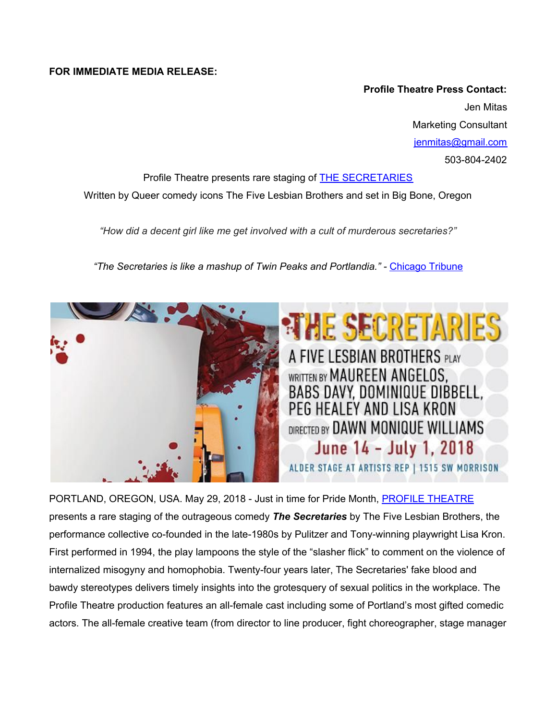## **FOR IMMEDIATE MEDIA RELEASE:**

**Profile Theatre Press Contact:** Jen Mitas Marketing Consultant [jenmitas@gmail.com](mailto:jenmitas@gmail.com) 503-804-2402

Profile Theatre presents rare staging of THE [SECRETARIES](http://profiletheatre.org/2018-2019/the-secretaries/) Written by Queer comedy icons The Five Lesbian Brothers and set in Big Bone, Oregon

*"How did a decent girl like me get involved with a cult of murderous secretaries?"*

*"The Secretaries is like a mashup of Twin Peaks and Portlandia." -* [Chicago](http://www.chicagotribune.com/entertainment/theater/reviews/ct-the-secretaries-about-face-theatre-ent-0516-20160513-column.html%0Ahttp://www.chicagotribune.com/entertainment/theater/reviews/ct-the-secretaries-about-face-theatre-ent-0516-20160513-column.html) Tribune



PORTLAND, OREGON, USA. May 29, 2018 - Just in time for Pride Month, PROFILE [THEATRE](http://profiletheatre.org/) presents a rare staging of the outrageous comedy *The Secretaries* by The Five Lesbian Brothers, the performance collective co-founded in the late-1980s by Pulitzer and Tony-winning playwright Lisa Kron. First performed in 1994, the play lampoons the style of the "slasher flick" to comment on the violence of internalized misogyny and homophobia. Twenty-four years later, The Secretaries' fake blood and bawdy stereotypes delivers timely insights into the grotesquery of sexual politics in the workplace. The Profile Theatre production features an all-female cast including some of Portland's most gifted comedic actors. The all-female creative team (from director to line producer, fight choreographer, stage manager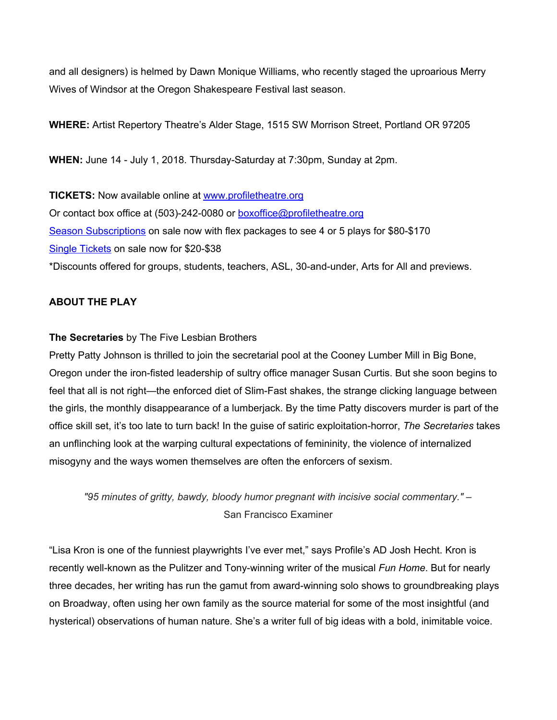and all designers) is helmed by Dawn Monique Williams, who recently staged the uproarious Merry Wives of Windsor at the Oregon Shakespeare Festival last season.

**WHERE:** Artist Repertory Theatre's Alder Stage, 1515 SW Morrison Street, Portland OR 97205

**WHEN:** June 14 - July 1, 2018. Thursday-Saturday at 7:30pm, Sunday at 2pm.

**TICKETS:** Now available online at [www.profiletheatre.org](http://www.profiletheatre.org/) Or contact box office at (503)-242-0080 or [boxoffice@profiletheatre.org](mailto:boxoffice@profiletheatre.org) Season [Subscriptions](http://profiletheatre.org/subscriptions/) on sale now with flex packages to see 4 or 5 plays for \$80-\$170 Single [Tickets](http://profiletheatre.org/tickets/) on sale now for \$20-\$38 \*Discounts offered for groups, students, teachers, ASL, 30-and-under, Arts for All and previews.

# **ABOUT THE PLAY**

## **The Secretaries** by The Five Lesbian Brothers

Pretty Patty Johnson is thrilled to join the secretarial pool at the Cooney Lumber Mill in Big Bone, Oregon under the iron-fisted leadership of sultry office manager Susan Curtis. But she soon begins to feel that all is not right—the enforced diet of Slim-Fast shakes, the strange clicking language between the girls, the monthly disappearance of a lumberjack. By the time Patty discovers murder is part of the office skill set, it's too late to turn back! In the guise of satiric exploitation-horror, *The Secretaries* takes an unflinching look at the warping cultural expectations of femininity, the violence of internalized misogyny and the ways women themselves are often the enforcers of sexism.

*"95 minutes of gritty, bawdy, bloody humor pregnant with incisive social commentary." –* San Francisco Examiner

"Lisa Kron is one of the funniest playwrights I've ever met," says Profile's AD Josh Hecht. Kron is recently well-known as the Pulitzer and Tony-winning writer of the musical *Fun Home*. But for nearly three decades, her writing has run the gamut from award-winning solo shows to groundbreaking plays on Broadway, often using her own family as the source material for some of the most insightful (and hysterical) observations of human nature. She's a writer full of big ideas with a bold, inimitable voice.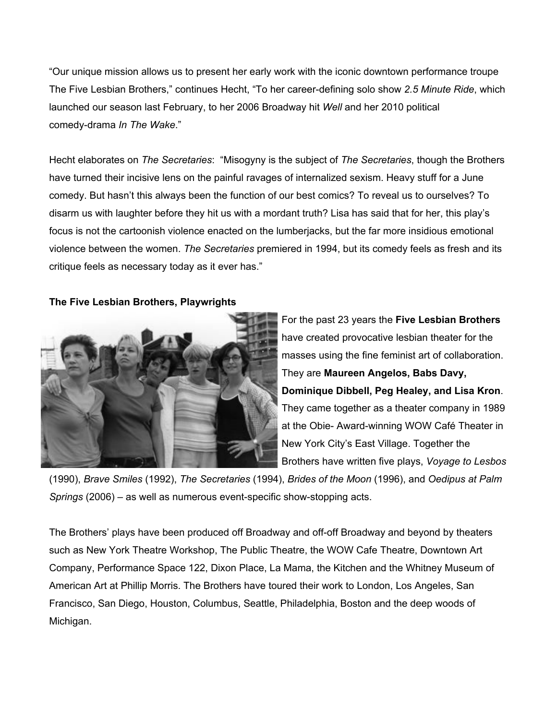"Our unique mission allows us to present her early work with the iconic downtown performance troupe The Five Lesbian Brothers," continues Hecht, "To her career-defining solo show *2.5 Minute Ride*, which launched our season last February, to her 2006 Broadway hit *Well* and her 2010 political comedy-drama *In The Wake*."

Hecht elaborates on *The Secretaries*: "Misogyny is the subject of *The Secretaries*, though the Brothers have turned their incisive lens on the painful ravages of internalized sexism. Heavy stuff for a June comedy. But hasn't this always been the function of our best comics? To reveal us to ourselves? To disarm us with laughter before they hit us with a mordant truth? Lisa has said that for her, this play's focus is not the cartoonish violence enacted on the lumberjacks, but the far more insidious emotional violence between the women. *The Secretaries* premiered in 1994, but its comedy feels as fresh and its critique feels as necessary today as it ever has."

## **The Five Lesbian Brothers, Playwrights**



For the past 23 years the **Five Lesbian Brothers** have created provocative lesbian theater for the masses using the fine feminist art of collaboration. They are **Maureen Angelos, Babs Davy, Dominique Dibbell, Peg Healey, and Lisa Kron**. They came together as a theater company in 1989 at the Obie- Award-winning WOW Café Theater in New York City's East Village. Together the Brothers have written five plays, *Voyage to Lesbos*

(1990), *Brave Smiles* (1992), *The Secretaries* (1994), *Brides of the Moon* (1996), and *Oedipus at Palm Springs* (2006) – as well as numerous event-specific show-stopping acts.

The Brothers' plays have been produced off Broadway and off-off Broadway and beyond by theaters such as New York Theatre Workshop, The Public Theatre, the WOW Cafe Theatre, Downtown Art Company, Performance Space 122, Dixon Place, La Mama, the Kitchen and the Whitney Museum of American Art at Phillip Morris. The Brothers have toured their work to London, Los Angeles, San Francisco, San Diego, Houston, Columbus, Seattle, Philadelphia, Boston and the deep woods of Michigan.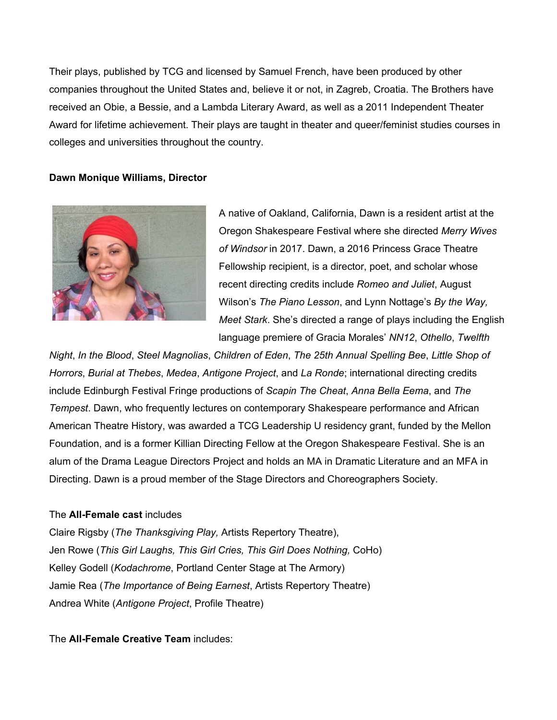Their plays, published by TCG and licensed by Samuel French, have been produced by other companies throughout the United States and, believe it or not, in Zagreb, Croatia. The Brothers have received an Obie, a Bessie, and a Lambda Literary Award, as well as a 2011 Independent Theater Award for lifetime achievement. Their plays are taught in theater and queer/feminist studies courses in colleges and universities throughout the country.

## **Dawn Monique Williams, Director**



A native of Oakland, California, Dawn is a resident artist at the Oregon Shakespeare Festival where she directed *Merry Wives of Windsor* in 2017. Dawn, a 2016 Princess Grace Theatre Fellowship recipient, is a director, poet, and scholar whose recent directing credits include *Romeo and Juliet*, August Wilson's *The Piano Lesson*, and Lynn Nottage's *By the Way, Meet Stark*. She's directed a range of plays including the English language premiere of Gracia Morales' *NN12*, *Othello*, *Twelfth*

*Night*, *In the Blood*, *Steel Magnolias*, *Children of Eden*, *The 25th Annual Spelling Bee*, *Little Shop of Horrors*, *Burial at Thebes*, *Medea*, *Antigone Project*, and *La Ronde*; international directing credits include Edinburgh Festival Fringe productions of *Scapin The Cheat*, *Anna Bella Eema*, and *The Tempest*. Dawn, who frequently lectures on contemporary Shakespeare performance and African American Theatre History, was awarded a TCG Leadership U residency grant, funded by the Mellon Foundation, and is a former Killian Directing Fellow at the Oregon Shakespeare Festival. She is an alum of the Drama League Directors Project and holds an MA in Dramatic Literature and an MFA in Directing. Dawn is a proud member of the Stage Directors and Choreographers Society.

#### The **All-Female cast** includes

Claire Rigsby (*The Thanksgiving Play,* Artists Repertory Theatre), Jen Rowe (*This Girl Laughs, This Girl Cries, This Girl Does Nothing,* CoHo) Kelley Godell (*Kodachrome*, Portland Center Stage at The Armory) Jamie Rea (*The Importance of Being Earnest*, Artists Repertory Theatre) Andrea White (*Antigone Project*, Profile Theatre)

The **All-Female Creative Team** includes: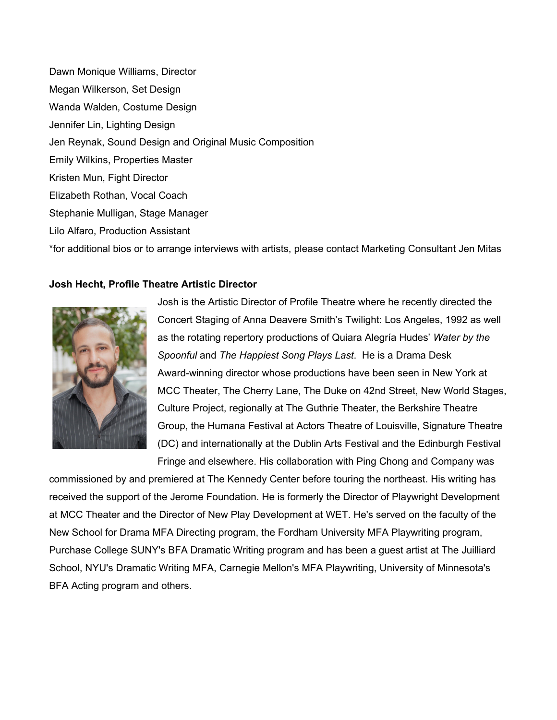Dawn Monique Williams, Director Megan Wilkerson, Set Design Wanda Walden, Costume Design Jennifer Lin, Lighting Design Jen Reynak, Sound Design and Original Music Composition Emily Wilkins, Properties Master Kristen Mun, Fight Director Elizabeth Rothan, Vocal Coach Stephanie Mulligan, Stage Manager Lilo Alfaro, Production Assistant

\*for additional bios or to arrange interviews with artists, please contact Marketing Consultant Jen Mitas

## **Josh Hecht, Profile Theatre Artistic Director**



Josh is the Artistic Director of Profile Theatre where he recently directed the Concert Staging of Anna Deavere Smith's Twilight: Los Angeles, 1992 as well as the rotating repertory productions of Quiara Alegría Hudes' *Water by the Spoonful* and *The Happiest Song Plays Last*. He is a Drama Desk Award-winning director whose productions have been seen in New York at MCC Theater, The Cherry Lane, The Duke on 42nd Street, New World Stages, Culture Project, regionally at The Guthrie Theater, the Berkshire Theatre Group, the Humana Festival at Actors Theatre of Louisville, Signature Theatre (DC) and internationally at the Dublin Arts Festival and the Edinburgh Festival Fringe and elsewhere. His collaboration with Ping Chong and Company was

commissioned by and premiered at The Kennedy Center before touring the northeast. His writing has received the support of the Jerome Foundation. He is formerly the Director of Playwright Development at MCC Theater and the Director of New Play Development at WET. He's served on the faculty of the New School for Drama MFA Directing program, the Fordham University MFA Playwriting program, Purchase College SUNY's BFA Dramatic Writing program and has been a guest artist at The Juilliard School, NYU's Dramatic Writing MFA, Carnegie Mellon's MFA Playwriting, University of Minnesota's BFA Acting program and others.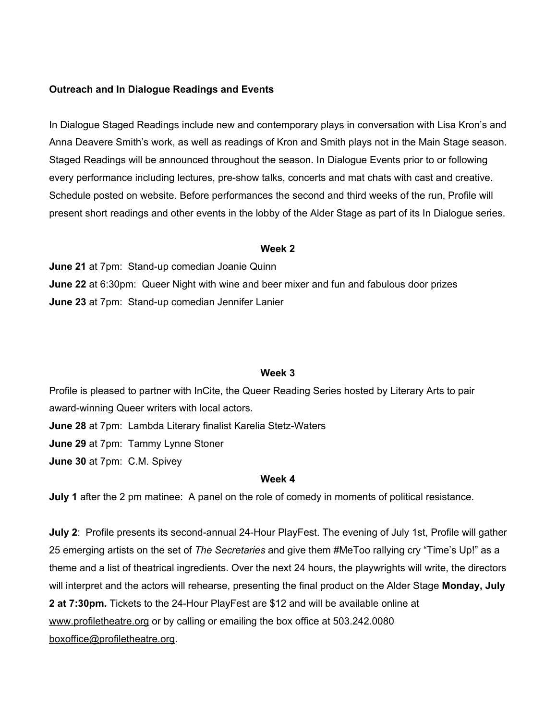## **Outreach and In Dialogue Readings and Events**

In Dialogue Staged Readings include new and contemporary plays in conversation with Lisa Kron's and Anna Deavere Smith's work, as well as readings of Kron and Smith plays not in the Main Stage season. Staged Readings will be announced throughout the season. In Dialogue Events prior to or following every performance including lectures, pre-show talks, concerts and mat chats with cast and creative. Schedule posted on website. Before performances the second and third weeks of the run, Profile will present short readings and other events in the lobby of the Alder Stage as part of its In Dialogue series.

#### **Week 2**

**June 21** at 7pm: Stand-up comedian Joanie Quinn **June 22** at 6:30pm: Queer Night with wine and beer mixer and fun and fabulous door prizes **June 23** at 7pm: Stand-up comedian Jennifer Lanier

#### **Week 3**

Profile is pleased to partner with InCite, the Queer Reading Series hosted by Literary Arts to pair award-winning Queer writers with local actors. **June 28** at 7pm: Lambda Literary finalist Karelia Stetz-Waters **June 29** at 7pm: Tammy Lynne Stoner **June 30** at 7pm: C.M. Spivey

#### **Week 4**

**July 1** after the 2 pm matinee: A panel on the role of comedy in moments of political resistance.

**July 2**: Profile presents its second-annual 24-Hour PlayFest. The evening of July 1st, Profile will gather 25 emerging artists on the set of *The Secretaries* and give them #MeToo rallying cry "Time's Up!" as a theme and a list of theatrical ingredients. Over the next 24 hours, the playwrights will write, the directors will interpret and the actors will rehearse, presenting the final product on the Alder Stage **Monday, July 2 at 7:30pm.** Tickets to the 24-Hour PlayFest are \$12 and will be available online at [www.profiletheatre.org](http://www.profiletheatre.org/) or by calling or emailing the box office at 503.242.0080 [boxoffice@profiletheatre.org](mailto:boxoffice@profiletheatre.org).